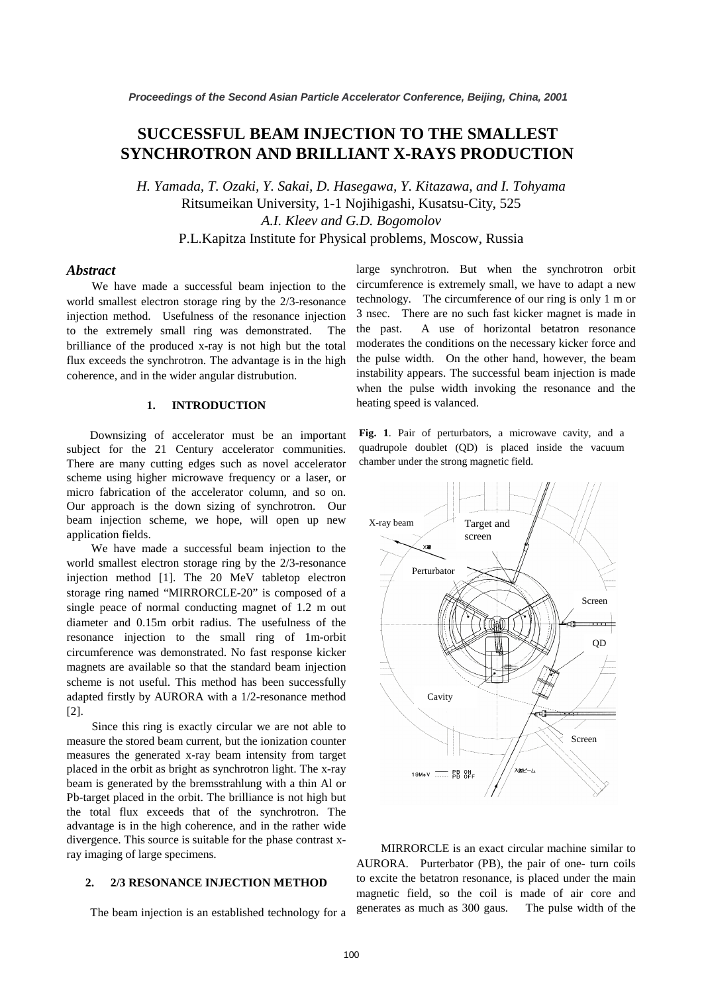# **SUCCESSFUL BEAM INJECTION TO THE SMALLEST SYNCHROTRON AND BRILLIANT X-RAYS PRODUCTION**

*H. Yamada, T. Ozaki, Y. Sakai, D. Hasegawa, Y. Kitazawa, and I. Tohyama* Ritsumeikan University, 1-1 Nojihigashi, Kusatsu-City, 525 *A.I. Kleev and G.D. Bogomolov* P.L.Kapitza Institute for Physical problems, Moscow, Russia

# *Abstract*

We have made a successful beam injection to the world smallest electron storage ring by the 2/3-resonance injection method. Usefulness of the resonance injection to the extremely small ring was demonstrated. The brilliance of the produced x-ray is not high but the total flux exceeds the synchrotron. The advantage is in the high coherence, and in the wider angular distrubution.

#### **1. INTRODUCTION**

Downsizing of accelerator must be an important subject for the 21 Century accelerator communities. There are many cutting edges such as novel accelerator scheme using higher microwave frequency or a laser, or micro fabrication of the accelerator column, and so on. Our approach is the down sizing of synchrotron. Our beam injection scheme, we hope, will open up new application fields.

We have made a successful beam injection to the world smallest electron storage ring by the 2/3-resonance injection method [1]. The 20 MeV tabletop electron storage ring named "MIRRORCLE-20" is composed of a single peace of normal conducting magnet of 1.2 m out diameter and 0.15m orbit radius. The usefulness of the resonance injection to the small ring of 1m-orbit circumference was demonstrated. No fast response kicker magnets are available so that the standard beam injection scheme is not useful. This method has been successfully adapted firstly by AURORA with a 1/2-resonance method [2].

Since this ring is exactly circular we are not able to measure the stored beam current, but the ionization counter measures the generated x-ray beam intensity from target placed in the orbit as bright as synchrotron light. The x-ray beam is generated by the bremsstrahlung with a thin Al or Pb-target placed in the orbit. The brilliance is not high but the total flux exceeds that of the synchrotron. The advantage is in the high coherence, and in the rather wide divergence. This source is suitable for the phase contrast xray imaging of large specimens.

### **2. 2/3 RESONANCE INJECTION METHOD**

The beam injection is an established technology for a

large synchrotron. But when the synchrotron orbit circumference is extremely small, we have to adapt a new technology. The circumference of our ring is only 1 m or 3 nsec. There are no such fast kicker magnet is made in the past. A use of horizontal betatron resonance moderates the conditions on the necessary kicker force and the pulse width. On the other hand, however, the beam instability appears. The successful beam injection is made when the pulse width invoking the resonance and the heating speed is valanced.

**Fig. 1**. Pair of perturbators, a microwave cavity, and a quadrupole doublet (QD) is placed inside the vacuum chamber under the strong magnetic field.



MIRRORCLE is an exact circular machine similar to AURORA. Purterbator (PB), the pair of one- turn coils to excite the betatron resonance, is placed under the main magnetic field, so the coil is made of air core and generates as much as 300 gaus. The pulse width of the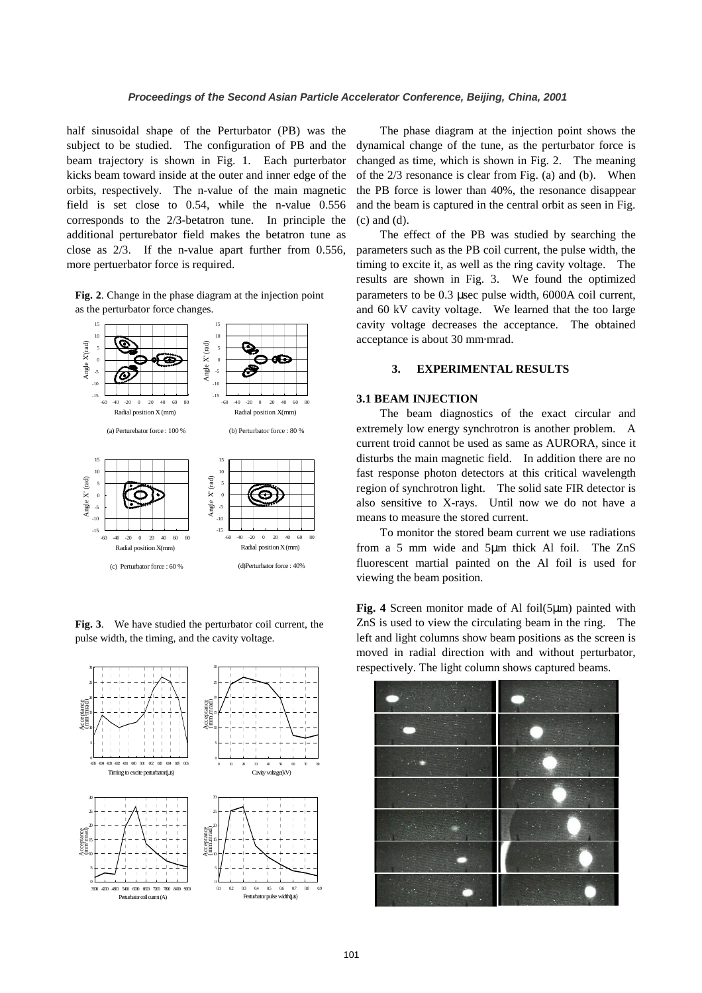half sinusoidal shape of the Perturbator (PB) was the subject to be studied. The configuration of PB and the beam trajectory is shown in Fig. 1. Each purterbator kicks beam toward inside at the outer and inner edge of the orbits, respectively. The n-value of the main magnetic field is set close to 0.54, while the n-value 0.556 corresponds to the 2/3-betatron tune. In principle the additional perturebator field makes the betatron tune as close as 2/3. If the n-value apart further from 0.556, more pertuerbator force is required.

**Fig. 2**. Change in the phase diagram at the injection point as the perturbator force changes.



**Fig. 3**. We have studied the perturbator coil current, the pulse width, the timing, and the cavity voltage.



The phase diagram at the injection point shows the dynamical change of the tune, as the perturbator force is changed as time, which is shown in Fig. 2. The meaning of the 2/3 resonance is clear from Fig. (a) and (b). When the PB force is lower than 40%, the resonance disappear and the beam is captured in the central orbit as seen in Fig. (c) and (d).

The effect of the PB was studied by searching the parameters such as the PB coil current, the pulse width, the timing to excite it, as well as the ring cavity voltage. The results are shown in Fig. 3. We found the optimized parameters to be 0.3 µsec pulse width, 6000A coil current, and 60 kV cavity voltage. We learned that the too large cavity voltage decreases the acceptance. The obtained acceptance is about 30 mm·mrad.

# **3. EXPERIMENTAL RESULTS**

# **3.1 BEAM INJECTION**

The beam diagnostics of the exact circular and extremely low energy synchrotron is another problem. A current troid cannot be used as same as AURORA, since it disturbs the main magnetic field. In addition there are no fast response photon detectors at this critical wavelength region of synchrotron light. The solid sate FIR detector is also sensitive to X-rays. Until now we do not have a means to measure the stored current.

To monitor the stored beam current we use radiations from a 5 mm wide and 5µm thick Al foil. The ZnS fluorescent martial painted on the Al foil is used for viewing the beam position.

**Fig. 4** Screen monitor made of Al foil(5µm) painted with ZnS is used to view the circulating beam in the ring. The left and light columns show beam positions as the screen is moved in radial direction with and without perturbator, respectively. The light column shows captured beams.